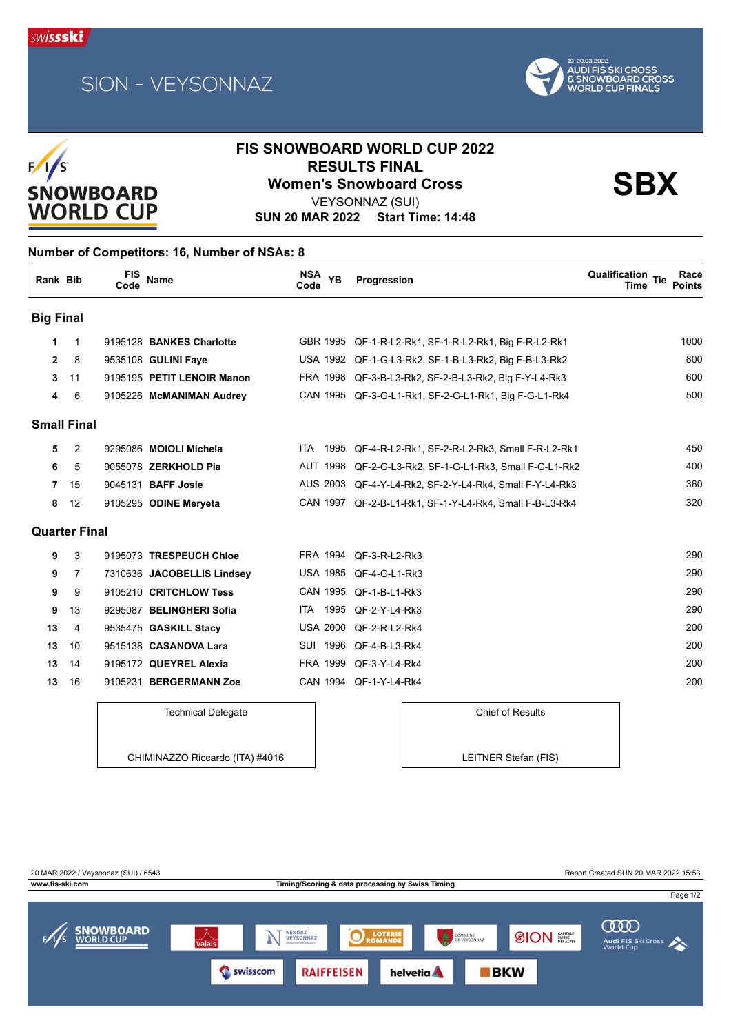





## **FIS SNOWBOARD WORLD CUP 2022 RESULTS FINAL<br>
Women's Snowboard Cross**<br>
VEXSONNAZ (SLII)

VEYSONNAZ (SUI)

**SUN 20 MAR 2022 Start Time: 14:48**

### **Number of Competitors: 16, Number of NSAs: 8**

| Rank Bib             |                | <b>FIS</b><br>Code | Name                       | NSA YB<br>Code  | Progression                                             | <b>Qualification Tie</b><br>Race<br><b>Points</b><br>Time |
|----------------------|----------------|--------------------|----------------------------|-----------------|---------------------------------------------------------|-----------------------------------------------------------|
| <b>Big Final</b>     |                |                    |                            |                 |                                                         |                                                           |
| 1                    | $\mathbf{1}$   |                    | 9195128 BANKES Charlotte   |                 | GBR 1995 QF-1-R-L2-Rk1, SF-1-R-L2-Rk1, Big F-R-L2-Rk1   | 1000                                                      |
| $\mathbf{2}$         | 8              |                    | 9535108 GULINI Faye        |                 | USA 1992 QF-1-G-L3-Rk2, SF-1-B-L3-Rk2, Big F-B-L3-Rk2   | 800                                                       |
| 3                    | 11             |                    | 9195195 PETIT LENOIR Manon |                 | FRA 1998 QF-3-B-L3-Rk2, SF-2-B-L3-Rk2, Big F-Y-L4-Rk3   | 60 <sub>C</sub>                                           |
| 4                    | 6              |                    | 9105226 McMANIMAN Audrey   |                 | CAN 1995 QF-3-G-L1-Rk1, SF-2-G-L1-Rk1, Big F-G-L1-Rk4   | 500                                                       |
| <b>Small Final</b>   |                |                    |                            |                 |                                                         |                                                           |
| 5                    | $\overline{2}$ |                    | 9295086 MOIOLI Michela     | ITA.<br>1995    | QF-4-R-L2-Rk1, SF-2-R-L2-Rk3, Small F-R-L2-Rk1          | 45 <sub>C</sub>                                           |
| 6                    | 5              |                    | 9055078 ZERKHOLD Pia       |                 | AUT 1998 QF-2-G-L3-Rk2, SF-1-G-L1-Rk3, Small F-G-L1-Rk2 | 40 <sub>C</sub>                                           |
| 7                    | 15             |                    | 9045131 <b>BAFF Josie</b>  |                 | AUS 2003 QF-4-Y-L4-Rk2, SF-2-Y-L4-Rk4, Small F-Y-L4-Rk3 | 360                                                       |
| 8                    | 12             |                    | 9105295 ODINE Meryeta      |                 | CAN 1997 QF-2-B-L1-Rk1, SF-1-Y-L4-Rk4, Small F-B-L3-Rk4 | 32C                                                       |
| <b>Quarter Final</b> |                |                    |                            |                 |                                                         |                                                           |
| 9                    | 3              |                    | 9195073 TRESPEUCH Chloe    |                 | FRA 1994 QF-3-R-L2-Rk3                                  | <b>290</b>                                                |
| 9                    | 7              |                    | 7310636 JACOBELLIS Lindsey |                 | USA 1985 QF-4-G-L1-Rk3                                  | <b>290</b>                                                |
| 9                    | 9              |                    | 9105210 CRITCHLOW Tess     |                 | CAN 1995 QF-1-B-L1-Rk3                                  | <b>290</b>                                                |
| 9                    | 13             |                    | 9295087 BELINGHERI Sofia   | ITA.            | 1995 QF-2-Y-L4-Rk3                                      | <b>290</b>                                                |
| 13                   | 4              |                    | 9535475 GASKILL Stacy      | <b>USA 2000</b> | QF-2-R-L2-Rk4                                           | 200                                                       |
| 13                   | 10             |                    | 9515138 CASANOVA Lara      |                 | SUI 1996 QF-4-B-L3-Rk4                                  | <b>200</b>                                                |
| 13                   | 14             |                    | 9195172 QUEYREL Alexia     | FRA 1999        | QF-3-Y-L4-Rk4                                           | <b>200</b>                                                |
| 13                   | 16             |                    | 9105231 BERGERMANN Zoe     |                 | CAN 1994 QF-1-Y-L4-Rk4                                  | <b>200</b>                                                |

#### Technical Delegate

Chief of Results LEITNER Stefan (FIS)

CHIMINAZZO Riccardo (ITA) #4016